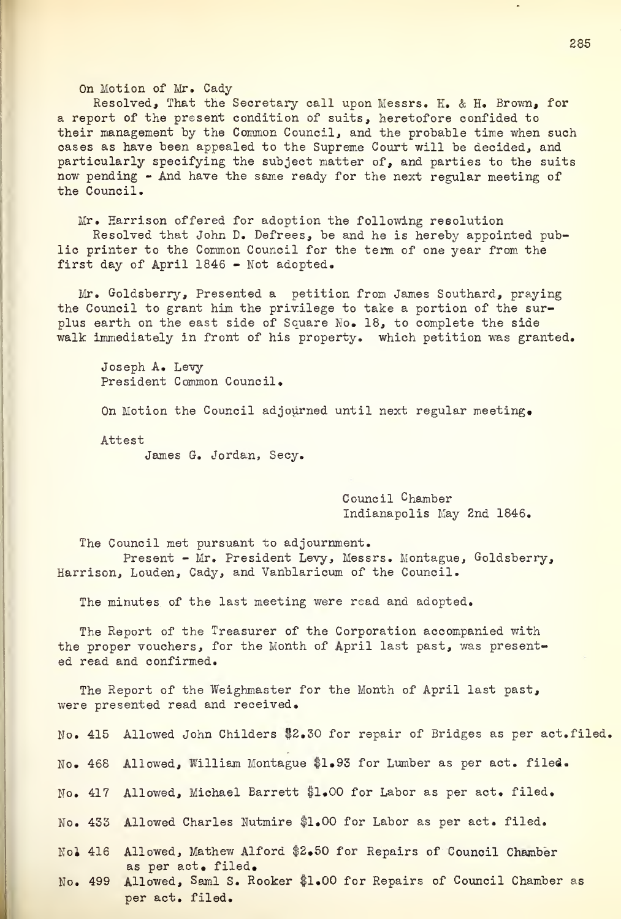On Motion of Mr. Cady

Resolved, That the Secretary call upon Messrs. K. & H. Brown, for a report of the present condition of suits, heretofore confided to their management by the Common Council, and the probable time when such cases as have been appealed to the Supreme Court will be decided, and particularly specifying the subject matter of, and parties to the suits now pending - And have the same ready for the next regular meeting of the Council.

Mr. Harrison offered for adoption the following reeolution Resolved that John D. Defrees, be and he is hereby appointed public printer to the Common Council for the term of one year from the first day of April 1846 - Not adopted.

Mr. Goldsberry, Presented a petition from James Southard, praying the Council to grant him the privilege to take a portion of the surplus earth on the east side of Square No. 18, to complete the side walk immediately in front of his property, which petition was granted.

Joseph A. Levy President Common Council.

On Motion the Council adjourned until next regular meeting.

Attest

James G. Jordan, Secy.

Council Chamber Indianapolis May 2nd 1846.

The Council met pursuant to adjournment. Present - Mr. President Levy, Messrs. Montague, Goldsberry, Harrison, Louden, Cady, and Vanblaricum of the Council.

The minutes of the last meeting were read and adopted.

The Report of the Treasurer of the Corporation accompanied with the proper vouchers, for the Month of April last past, was presented read and confirmed.

The Report of the Weighmaster for the Month of April last past, were presented read and received.

No. 468 Allowed, William Montague \$1.93 for Lumber as per act. filed.

No. 417 Allowed, Michael Barrett \$1.00 for Labor as per act. filed.

No. 433 Allowed Charles Nutmire \$1.00 for Labor as per act. filed.

Nol 416 Allowed, Mathew Alford \$2.50 for Repairs of Council Chamber as per act. filed.

No. 499 Allowed, Semi S. Rooker fl.00 for Repairs of Council Chamber as per act. filed.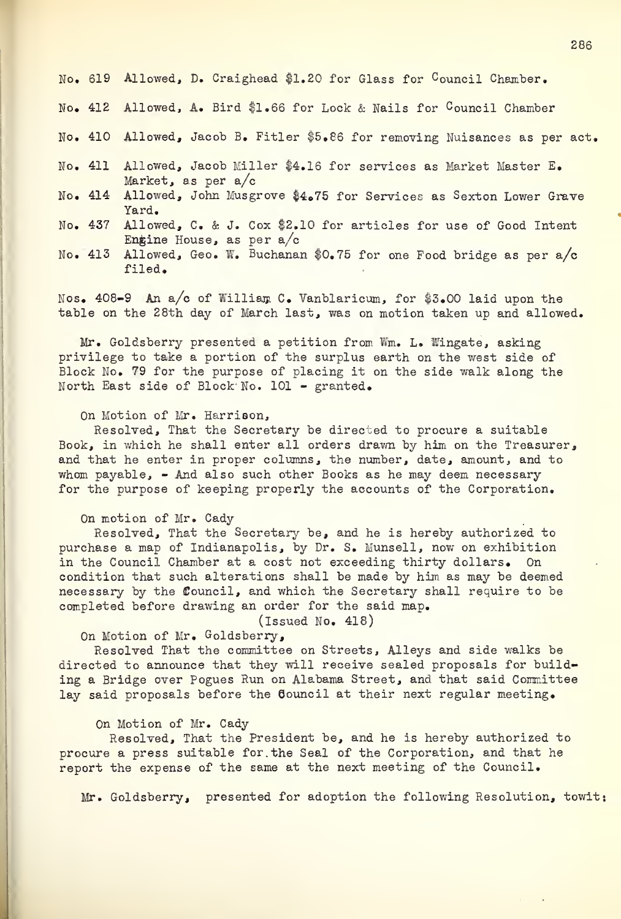|  | No. 619 Allowed, D. Craighead \$1.20 for Glass for Council Chamber.                                 |
|--|-----------------------------------------------------------------------------------------------------|
|  | No. 412 Allowed, A. Bird \$1.66 for Lock & Nails for Council Chamber                                |
|  | No. 410 Allowed, Jacob B. Fitler \$5.86 for removing Nuisances as per act.                          |
|  | No. 411 Allowed, Jacob Miller \$4.16 for services as Market Master E.<br>Market, as per a/c         |
|  | No. 414 Allowed, John Musgrove \$4.75 for Services as Sexton Lower Grave<br>Yard.                   |
|  | No. 437 Allowed, C. & J. Cox \$2.10 for articles for use of Good Intent<br>Engine House, as per a/c |
|  | No. 413 Allowed, Geo. W. Buchanan \$0.75 for one Food bridge as per a/c<br>filed.                   |

Nos. 408-9 An a/c of William C. Vanblaricum, for \$3.00 laid upon the table on the 28th day of March last, was on motion taken up and allowed.

Mr. Goldsberry presented a petition from Wm. L. Wingate, asking privilege to take a portion of the surplus earth on the west side of Block No. 79 for the purpose of placing it on the side walk along the North East side of Block No. 101 - granted.

# On Motion of Mr. Harrison,

Resolved, That the Secretary be directed to procure a suitable Book, in which he shall enter all orders drawn by him on the Treasurer, and that he enter in proper columns, the number, date, amount, and to whom payable,  $\sim$  And also such other Books as he may deem necessary for the purpose of keeping properly the accounts of the Corporation.

### On motion of Mr. Cady

Resolved, That the Secretary be, and he is hereby authorized to purchase a map of Indianapolis, by Dr. S. Munsell, now on exhibition in the Council Chamber at a cost not exceeding thirty dollars. On condition that such alterations shall be made by him as may be deemed necessary by the Council, and which the Secretary shall require to be completed before drawing an order for the said map.

(Issued No. 418)

On Motion of Mr. Goldsberry,

Resolved That the committee on Streets, Alleys and side walks be directed to announce that they will receive sealed proposals for building a Bridge over Pogues Run on Alabama Street, and that said Committee lay said proposals before the Council at their next regular meeting.

### On Motion of Mr. Cady

Resolved, That the President be, and he is hereby authorized to procure a press suitable for. the Seal of the Corporation, and that he report the expense of the same at the next meeting of the Council.

Mr. Goldsberry, presented for adoption the following Resolution, towit: